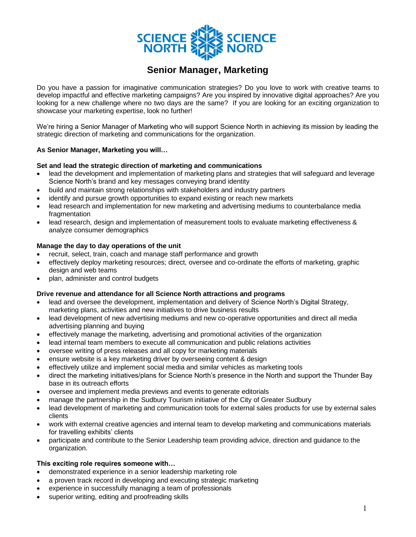

# **Senior Manager, Marketing**

Do you have a passion for imaginative communication strategies? Do you love to work with creative teams to develop impactful and effective marketing campaigns? Are you inspired by innovative digital approaches? Are you looking for a new challenge where no two days are the same? If you are looking for an exciting organization to showcase your marketing expertise, look no further!

We're hiring a Senior Manager of Marketing who will support Science North in achieving its mission by leading the strategic direction of marketing and communications for the organization.

## **As Senior Manager, Marketing you will…**

### **Set and lead the strategic direction of marketing and communications**

- lead the development and implementation of marketing plans and strategies that will safeguard and leverage Science North's brand and key messages conveying brand identity
- build and maintain strong relationships with stakeholders and industry partners
- identify and pursue growth opportunities to expand existing or reach new markets
- lead research and implementation for new marketing and advertising mediums to counterbalance media fragmentation
- lead research, design and implementation of measurement tools to evaluate marketing effectiveness & analyze consumer demographics

### **Manage the day to day operations of the unit**

- recruit, select, train, coach and manage staff performance and growth
- effectively deploy marketing resources; direct, oversee and co-ordinate the efforts of marketing, graphic design and web teams
- plan, administer and control budgets

### **Drive revenue and attendance for all Science North attractions and programs**

- lead and oversee the development, implementation and delivery of Science North's Digital Strategy, marketing plans, activities and new initiatives to drive business results
- lead development of new advertising mediums and new co-operative opportunities and direct all media advertising planning and buying
- effectively manage the marketing, advertising and promotional activities of the organization
- lead internal team members to execute all communication and public relations activities
- oversee writing of press releases and all copy for marketing materials
- ensure website is a key marketing driver by overseeing content & design
- effectively utilize and implement social media and similar vehicles as marketing tools
- direct the marketing initiatives/plans for Science North's presence in the North and support the Thunder Bay base in its outreach efforts
- oversee and implement media previews and events to generate editorials
- manage the partnership in the Sudbury Tourism initiative of the City of Greater Sudbury
- lead development of marketing and communication tools for external sales products for use by external sales clients
- work with external creative agencies and internal team to develop marketing and communications materials for travelling exhibits' clients
- participate and contribute to the Senior Leadership team providing advice, direction and guidance to the organization.

### **This exciting role requires someone with…**

- demonstrated experience in a senior leadership marketing role
- a proven track record in developing and executing strategic marketing
- experience in successfully managing a team of professionals
- superior writing, editing and proofreading skills